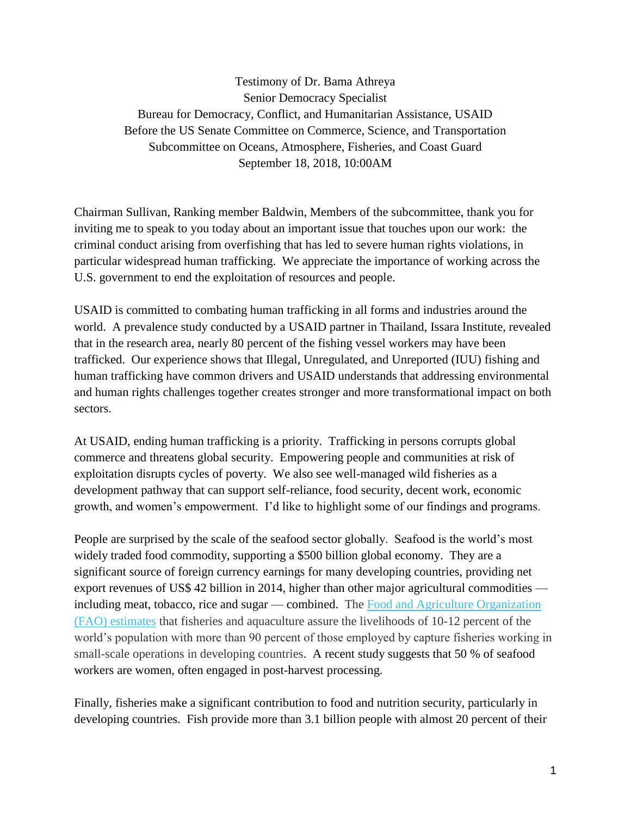Testimony of Dr. Bama Athreya Senior Democracy Specialist Bureau for Democracy, Conflict, and Humanitarian Assistance, USAID Before the US Senate Committee on Commerce, Science, and Transportation Subcommittee on Oceans, Atmosphere, Fisheries, and Coast Guard September 18, 2018, 10:00AM

Chairman Sullivan, Ranking member Baldwin, Members of the subcommittee, thank you for inviting me to speak to you today about an important issue that touches upon our work: the criminal conduct arising from overfishing that has led to severe human rights violations, in particular widespread human trafficking. We appreciate the importance of working across the U.S. government to end the exploitation of resources and people.

USAID is committed to combating human trafficking in all forms and industries around the world. A prevalence study conducted by a USAID partner in Thailand, Issara Institute, revealed that in the research area, nearly 80 percent of the fishing vessel workers may have been trafficked. Our experience shows that Illegal, Unregulated, and Unreported (IUU) fishing and human trafficking have common drivers and USAID understands that addressing environmental and human rights challenges together creates stronger and more transformational impact on both sectors.

At USAID, ending human trafficking is a priority. Trafficking in persons corrupts global commerce and threatens global security. Empowering people and communities at risk of exploitation disrupts cycles of poverty. We also see well-managed wild fisheries as a development pathway that can support self-reliance, food security, decent work, economic growth, and women's empowerment. I'd like to highlight some of our findings and programs.

People are surprised by the scale of the seafood sector globally. Seafood is the world's most widely traded food commodity, supporting a \$500 billion global economy. They are a significant source of foreign currency earnings for many developing countries, providing net export revenues of US\$ 42 billion in 2014, higher than other major agricultural commodities including meat, tobacco, rice and sugar — combined. The [Food and Agriculture Organization](http://www.fao.org/3/a-i3720e.pdf)  [\(FAO\) estimates](http://www.fao.org/3/a-i3720e.pdf) that fisheries and aquaculture assure the livelihoods of 10-12 percent of the world's population with more than 90 percent of those employed by capture fisheries working in small-scale operations in developing countries. A recent study suggests that 50 % of seafood workers are women, often engaged in post-harvest processing.

Finally, fisheries make a significant contribution to food and nutrition security, particularly in developing countries. Fish provide more than 3.1 billion people with almost 20 percent of their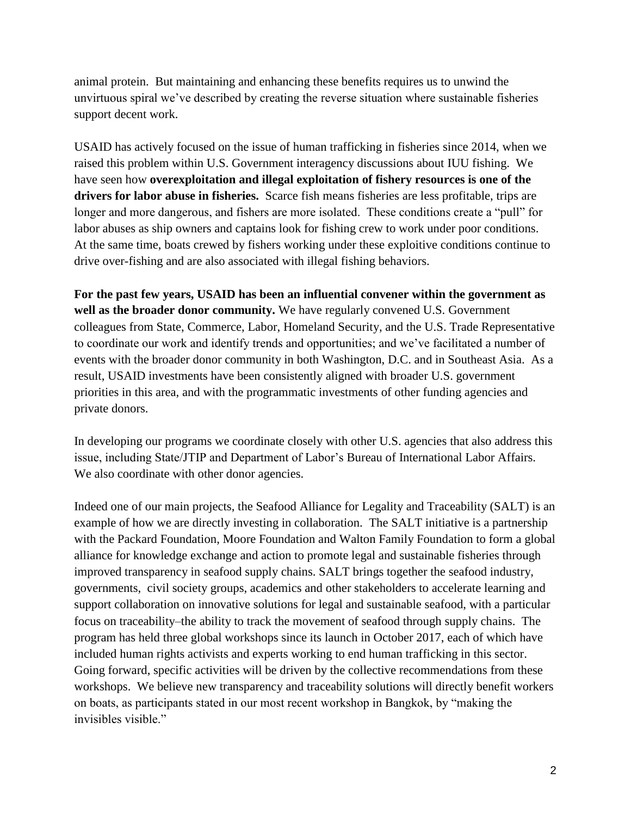animal protein. But maintaining and enhancing these benefits requires us to unwind the unvirtuous spiral we've described by creating the reverse situation where sustainable fisheries support decent work.

USAID has actively focused on the issue of human trafficking in fisheries since 2014, when we raised this problem within U.S. Government interagency discussions about IUU fishing. We have seen how **overexploitation and illegal exploitation of fishery resources is one of the drivers for labor abuse in fisheries.** Scarce fish means fisheries are less profitable, trips are longer and more dangerous, and fishers are more isolated. These conditions create a "pull" for labor abuses as ship owners and captains look for fishing crew to work under poor conditions. At the same time, boats crewed by fishers working under these exploitive conditions continue to drive over-fishing and are also associated with illegal fishing behaviors.

**For the past few years, USAID has been an influential convener within the government as well as the broader donor community.** We have regularly convened U.S. Government colleagues from State, Commerce, Labor, Homeland Security, and the U.S. Trade Representative to coordinate our work and identify trends and opportunities; and we've facilitated a number of events with the broader donor community in both Washington, D.C. and in Southeast Asia. As a result, USAID investments have been consistently aligned with broader U.S. government priorities in this area, and with the programmatic investments of other funding agencies and private donors.

In developing our programs we coordinate closely with other U.S. agencies that also address this issue, including State/JTIP and Department of Labor's Bureau of International Labor Affairs. We also coordinate with other donor agencies.

Indeed one of our main projects, the Seafood Alliance for Legality and Traceability (SALT) is an example of how we are directly investing in collaboration. The SALT initiative is a partnership with the Packard Foundation, Moore Foundation and Walton Family Foundation to form a global alliance for knowledge exchange and action to promote legal and sustainable fisheries through improved transparency in seafood supply chains. SALT brings together the seafood industry, governments, civil society groups, academics and other stakeholders to accelerate learning and support collaboration on innovative solutions for legal and sustainable seafood, with a particular focus on traceability–the ability to track the movement of seafood through supply chains. The program has held three global workshops since its launch in October 2017, each of which have included human rights activists and experts working to end human trafficking in this sector. Going forward, specific activities will be driven by the collective recommendations from these workshops. We believe new transparency and traceability solutions will directly benefit workers on boats, as participants stated in our most recent workshop in Bangkok, by "making the invisibles visible."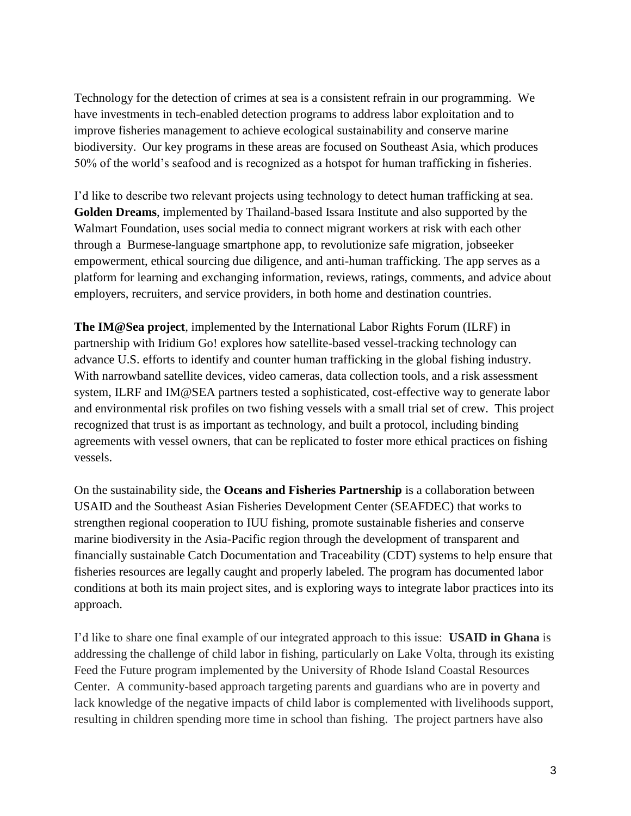Technology for the detection of crimes at sea is a consistent refrain in our programming. We have investments in tech-enabled detection programs to address labor exploitation and to improve fisheries management to achieve ecological sustainability and conserve marine biodiversity. Our key programs in these areas are focused on Southeast Asia, which produces 50% of the world's seafood and is recognized as a hotspot for human trafficking in fisheries.

I'd like to describe two relevant projects using technology to detect human trafficking at sea. **Golden Dreams**, implemented by Thailand-based Issara Institute and also supported by the Walmart Foundation, uses social media to connect migrant workers at risk with each other through a Burmese-language smartphone app, to revolutionize safe migration, jobseeker empowerment, ethical sourcing due diligence, and anti-human trafficking. The app serves as a platform for learning and exchanging information, reviews, ratings, comments, and advice about employers, recruiters, and service providers, in both home and destination countries.

**The IM@Sea project**, implemented by the International Labor Rights Forum (ILRF) in partnership with Iridium Go! explores how satellite-based vessel-tracking technology can advance U.S. efforts to identify and counter human trafficking in the global fishing industry. With narrowband satellite devices, video cameras, data collection tools, and a risk assessment system, ILRF and IM@SEA partners tested a sophisticated, cost-effective way to generate labor and environmental risk profiles on two fishing vessels with a small trial set of crew. This project recognized that trust is as important as technology, and built a protocol, including binding agreements with vessel owners, that can be replicated to foster more ethical practices on fishing vessels.

On the sustainability side, the **Oceans and Fisheries Partnership** is a collaboration between USAID and the Southeast Asian Fisheries Development Center (SEAFDEC) that works to strengthen regional cooperation to IUU fishing, promote sustainable fisheries and conserve marine biodiversity in the Asia-Pacific region through the development of transparent and financially sustainable Catch Documentation and Traceability (CDT) systems to help ensure that fisheries resources are legally caught and properly labeled. The program has documented labor conditions at both its main project sites, and is exploring ways to integrate labor practices into its approach.

I'd like to share one final example of our integrated approach to this issue: **USAID in Ghana** is addressing the challenge of child labor in fishing, particularly on Lake Volta, through its existing Feed the Future program implemented by the University of Rhode Island Coastal Resources Center. A community-based approach targeting parents and guardians who are in poverty and lack knowledge of the negative impacts of child labor is complemented with livelihoods support, resulting in children spending more time in school than fishing. The project partners have also